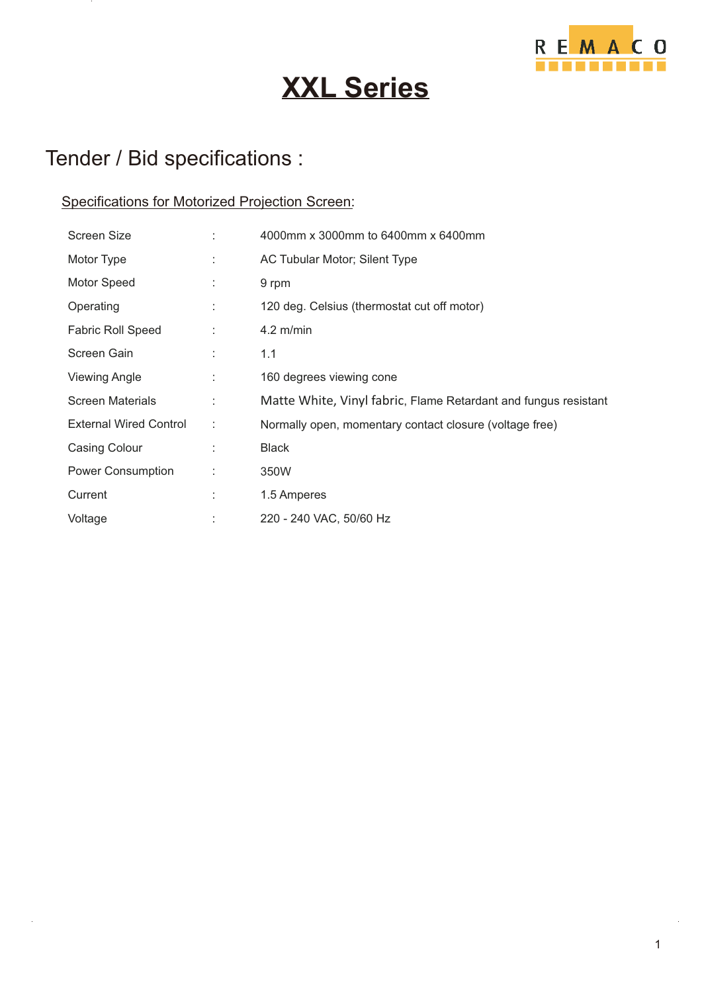

# **XXL Series**

## Tender / Bid specifications :

#### Specifications for Motorized Projection Screen:

| Screen Size                   |   | 4000mm x 3000mm to 6400mm x 6400mm                              |
|-------------------------------|---|-----------------------------------------------------------------|
| Motor Type                    |   | AC Tubular Motor; Silent Type                                   |
| Motor Speed                   | ÷ | 9 rpm                                                           |
| Operating                     |   | 120 deg. Celsius (thermostat cut off motor)                     |
| <b>Fabric Roll Speed</b>      |   | $4.2$ m/min                                                     |
| Screen Gain                   |   | 1.1                                                             |
| Viewing Angle                 |   | 160 degrees viewing cone                                        |
| <b>Screen Materials</b>       |   | Matte White, Vinyl fabric, Flame Retardant and fungus resistant |
| <b>External Wired Control</b> | ÷ | Normally open, momentary contact closure (voltage free)         |
| Casing Colour                 |   | <b>Black</b>                                                    |
| Power Consumption             | ÷ | 350W                                                            |
| Current                       | ÷ | 1.5 Amperes                                                     |
| Voltage                       |   | 220 - 240 VAC, 50/60 Hz                                         |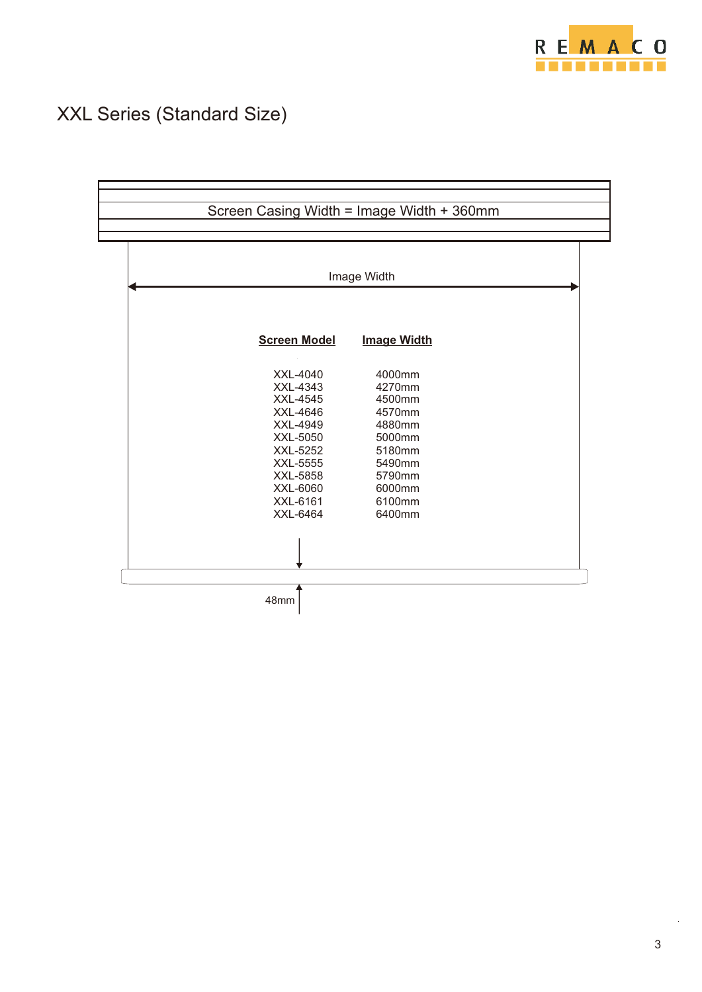

## XXL Series (Standard Size)

| Image Width          |                    |  |  |  |
|----------------------|--------------------|--|--|--|
| <b>Screen Model</b>  | <b>Image Width</b> |  |  |  |
| XXL-4040             | 4000mm             |  |  |  |
| XXL-4343<br>XXL-4545 | 4270mm<br>4500mm   |  |  |  |
| XXL-4646             | 4570mm             |  |  |  |
| XXL-4949             | 4880mm             |  |  |  |
| XXL-5050             | 5000mm             |  |  |  |
| XXL-5252             | 5180mm             |  |  |  |
| XXL-5555             | 5490mm             |  |  |  |
| XXL-5858<br>XXL-6060 | 5790mm<br>6000mm   |  |  |  |
| XXL-6161             | 6100mm             |  |  |  |
| XXL-6464             | 6400mm             |  |  |  |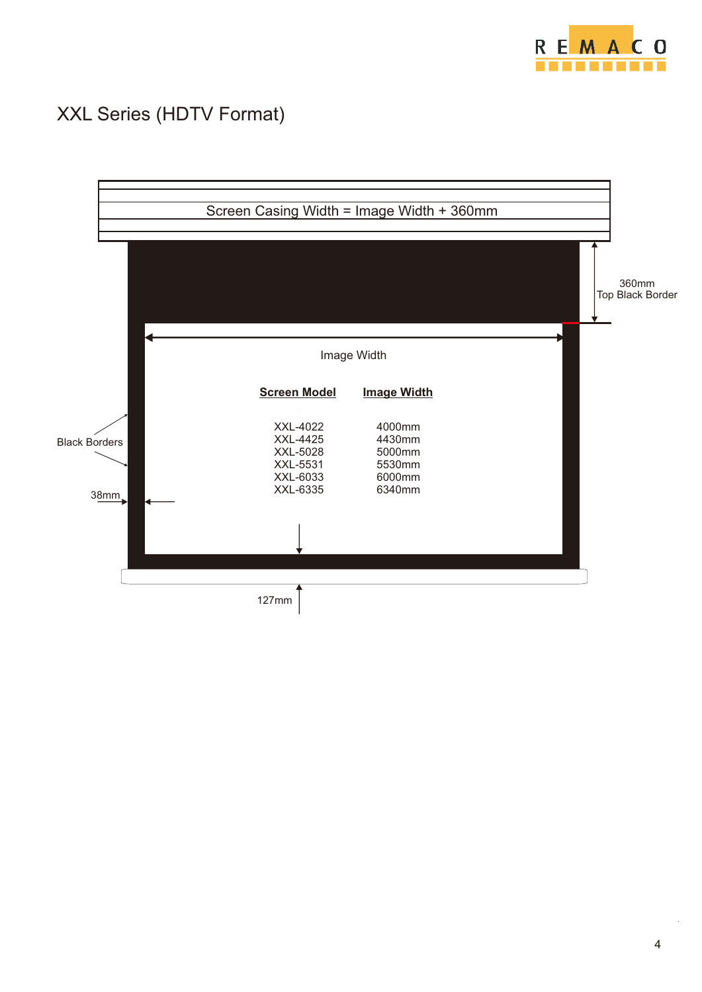

#### XXL Series (HDTV Format)